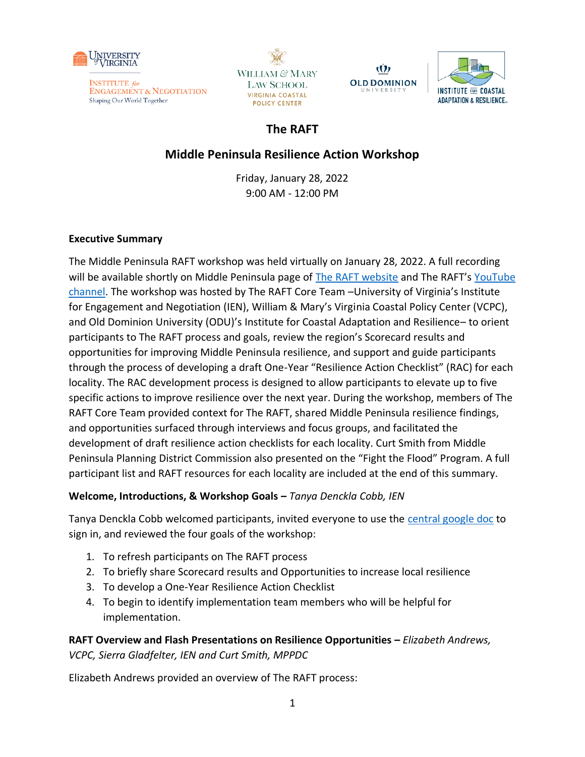







# **The RAFT**

# **Middle Peninsula Resilience Action Workshop**

Friday, January 28, 2022 9:00 AM - 12:00 PM

## **Executive Summary**

The Middle Peninsula RAFT workshop was held virtually on January 28, 2022. A full recording will be available shortly on Middle Peninsula page of [The RAFT website](https://raft.ien.virginia.edu/2021-2022-middle-peninsula-localities) and The RAFT's [YouTube](https://youtube.com/playlist?list=PLX1zjRLo43ypK8ptsWcuFyR-ek56ham0l)  [channel.](https://youtube.com/playlist?list=PLX1zjRLo43ypK8ptsWcuFyR-ek56ham0l) The workshop was hosted by The RAFT Core Team –University of Virginia's Institute for Engagement and Negotiation (IEN), William & Mary's Virginia Coastal Policy Center (VCPC), and Old Dominion University (ODU)'s Institute for Coastal Adaptation and Resilience– to orient participants to The RAFT process and goals, review the region's Scorecard results and opportunities for improving Middle Peninsula resilience, and support and guide participants through the process of developing a draft One-Year "Resilience Action Checklist" (RAC) for each locality. The RAC development process is designed to allow participants to elevate up to five specific actions to improve resilience over the next year. During the workshop, members of The RAFT Core Team provided context for The RAFT, shared Middle Peninsula resilience findings, and opportunities surfaced through interviews and focus groups, and facilitated the development of draft resilience action checklists for each locality. Curt Smith from Middle Peninsula Planning District Commission also presented on the "Fight the Flood" Program. A full participant list and RAFT resources for each locality are included at the end of this summary.

## **Welcome, Introductions, & Workshop Goals –** *Tanya Denckla Cobb, IEN*

Tanya Denckla Cobb welcomed participants, invited everyone to use the [central google doc](https://docs.google.com/document/d/1sBh0fGdfzjskPjDyMPvSKUqek5z8p4atWzlbRUO6aKc/edit#bookmark=id.mn7l07sw8h10) to sign in, and reviewed the four goals of the workshop:

- 1. To refresh participants on The RAFT process
- 2. To briefly share Scorecard results and Opportunities to increase local resilience
- 3. To develop a One-Year Resilience Action Checklist
- 4. To begin to identify implementation team members who will be helpful for implementation.

**RAFT Overview and Flash Presentations on Resilience Opportunities –** *Elizabeth Andrews, VCPC, Sierra Gladfelter, IEN and Curt Smith, MPPDC* 

Elizabeth Andrews provided an overview of The RAFT process: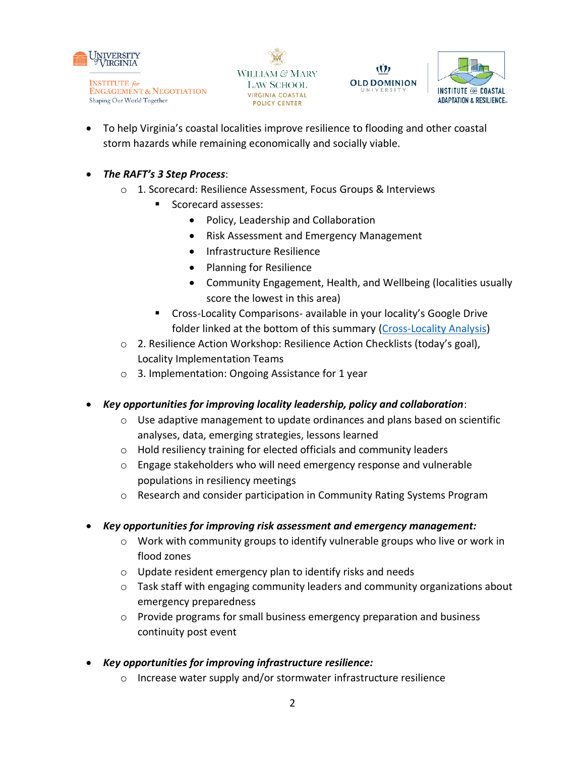







- To help Virginia's coastal localities improve resilience to flooding and other coastal storm hazards while remaining economically and socially viable.
- *The RAFT's 3 Step Process*:
	- o 1. Scorecard: Resilience Assessment, Focus Groups & Interviews
		- Scorecard assesses:
			- Policy, Leadership and Collaboration
			- Risk Assessment and Emergency Management
			- Infrastructure Resilience
			- Planning for Resilience
			- Community Engagement, Health, and Wellbeing (localities usually score the lowest in this area)
		- Cross-Locality Comparisons- available in your locality's Google Drive folder linked at the bottom of this summary [\(Cross-Locality Analysis\)](https://drive.google.com/file/d/11Lu2igCWrNbiq87Cwv2SVZF9a40Rb1s7/view?usp=sharing)
	- o 2. Resilience Action Workshop: Resilience Action Checklists (today's goal), Locality Implementation Teams
	- o 3. Implementation: Ongoing Assistance for 1 year
- *Key opportunities for improving locality leadership, policy and collaboration*:
	- o Use adaptive management to update ordinances and plans based on scientific analyses, data, emerging strategies, lessons learned
	- o Hold resiliency training for elected officials and community leaders
	- o Engage stakeholders who will need emergency response and vulnerable populations in resiliency meetings
	- o Research and consider participation in Community Rating Systems Program
- *Key opportunities for improving risk assessment and emergency management:* 
	- o Work with community groups to identify vulnerable groups who live or work in flood zones
	- o Update resident emergency plan to identify risks and needs
	- o Task staff with engaging community leaders and community organizations about emergency preparedness
	- o Provide programs for small business emergency preparation and business continuity post event
- *Key opportunities for improving infrastructure resilience:* 
	- o Increase water supply and/or stormwater infrastructure resilience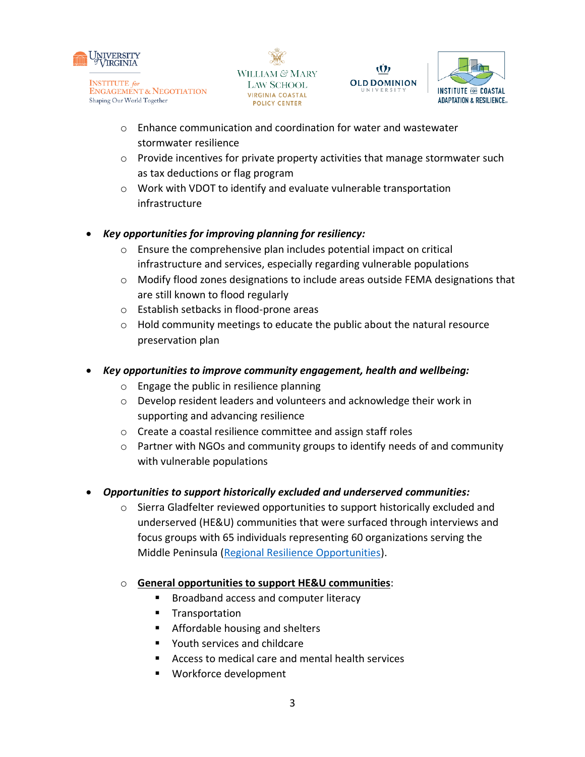







- $\circ$  Enhance communication and coordination for water and wastewater stormwater resilience
- o Provide incentives for private property activities that manage stormwater such as tax deductions or flag program
- o Work with VDOT to identify and evaluate vulnerable transportation infrastructure

## • *Key opportunities for improving planning for resiliency:*

- $\circ$  Ensure the comprehensive plan includes potential impact on critical infrastructure and services, especially regarding vulnerable populations
- $\circ$  Modify flood zones designations to include areas outside FEMA designations that are still known to flood regularly
- o Establish setbacks in flood-prone areas
- $\circ$  Hold community meetings to educate the public about the natural resource preservation plan
- *Key opportunities to improve community engagement, health and wellbeing:* 
	- o Engage the public in resilience planning
	- o Develop resident leaders and volunteers and acknowledge their work in supporting and advancing resilience
	- o Create a coastal resilience committee and assign staff roles
	- o Partner with NGOs and community groups to identify needs of and community with vulnerable populations
- *Opportunities to support historically excluded and underserved communities:* 
	- $\circ$  Sierra Gladfelter reviewed opportunities to support historically excluded and underserved (HE&U) communities that were surfaced through interviews and focus groups with 65 individuals representing 60 organizations serving the Middle Peninsula [\(Regional Resilience Opportunities\)](https://drive.google.com/file/d/12-1vwdlPkdtdr5_f0WB_V7Xj-LPuqMTa/view?usp=sharing).
	- o **General opportunities to support HE&U communities**:
		- Broadband access and computer literacy
		- Transportation
		- Affordable housing and shelters
		- Youth services and childcare
		- Access to medical care and mental health services
		- Workforce development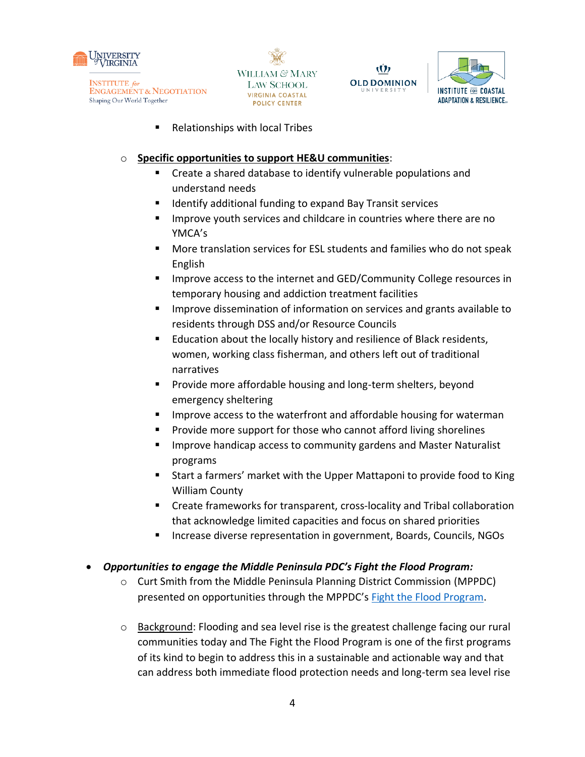







■ Relationships with local Tribes

#### o **Specific opportunities to support HE&U communities**:

- Create a shared database to identify vulnerable populations and understand needs
- Identify additional funding to expand Bay Transit services
- Improve youth services and childcare in countries where there are no YMCA's
- More translation services for ESL students and families who do not speak English
- Improve access to the internet and GED/Community College resources in temporary housing and addiction treatment facilities
- Improve dissemination of information on services and grants available to residents through DSS and/or Resource Councils
- Education about the locally history and resilience of Black residents, women, working class fisherman, and others left out of traditional narratives
- Provide more affordable housing and long-term shelters, beyond emergency sheltering
- Improve access to the waterfront and affordable housing for waterman
- Provide more support for those who cannot afford living shorelines
- Improve handicap access to community gardens and Master Naturalist programs
- Start a farmers' market with the Upper Mattaponi to provide food to King William County
- Create frameworks for transparent, cross-locality and Tribal collaboration that acknowledge limited capacities and focus on shared priorities
- Increase diverse representation in government, Boards, Councils, NGOs

#### • *Opportunities to engage the Middle Peninsula PDC's Fight the Flood Program:*

- o Curt Smith from the Middle Peninsula Planning District Commission (MPPDC) presented on opportunities through the MPPDC's [Fight the Flood Program.](https://fightthefloodva.com/)
- $\circ$  Background: Flooding and sea level rise is the greatest challenge facing our rural communities today and The Fight the Flood Program is one of the first programs of its kind to begin to address this in a sustainable and actionable way and that can address both immediate flood protection needs and long-term sea level rise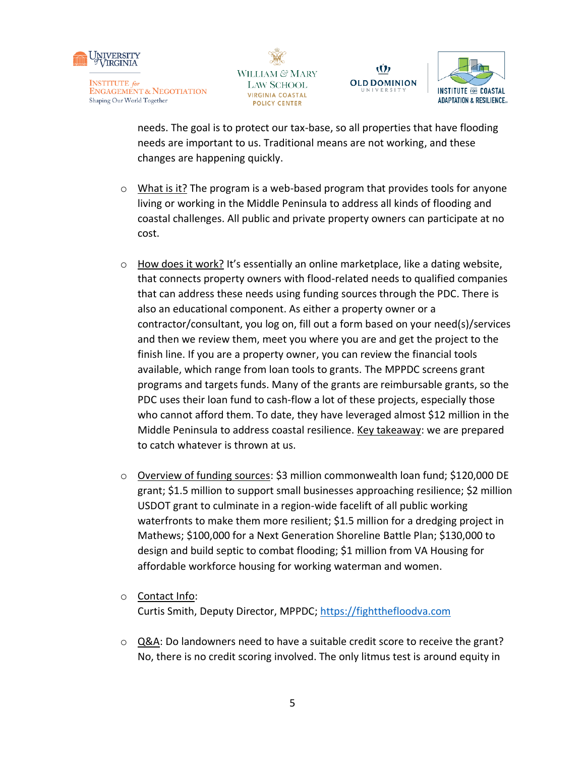







needs. The goal is to protect our tax-base, so all properties that have flooding needs are important to us. Traditional means are not working, and these changes are happening quickly.

- $\circ$  What is it? The program is a web-based program that provides tools for anyone living or working in the Middle Peninsula to address all kinds of flooding and coastal challenges. All public and private property owners can participate at no cost.
- $\circ$  How does it work? It's essentially an online marketplace, like a dating website, that connects property owners with flood-related needs to qualified companies that can address these needs using funding sources through the PDC. There is also an educational component. As either a property owner or a contractor/consultant, you log on, fill out a form based on your need(s)/services and then we review them, meet you where you are and get the project to the finish line. If you are a property owner, you can review the financial tools available, which range from loan tools to grants. The MPPDC screens grant programs and targets funds. Many of the grants are reimbursable grants, so the PDC uses their loan fund to cash-flow a lot of these projects, especially those who cannot afford them. To date, they have leveraged almost \$12 million in the Middle Peninsula to address coastal resilience. Key takeaway: we are prepared to catch whatever is thrown at us.
- o Overview of funding sources: \$3 million commonwealth loan fund; \$120,000 DE grant; \$1.5 million to support small businesses approaching resilience; \$2 million USDOT grant to culminate in a region-wide facelift of all public working waterfronts to make them more resilient; \$1.5 million for a dredging project in Mathews; \$100,000 for a Next Generation Shoreline Battle Plan; \$130,000 to design and build septic to combat flooding; \$1 million from VA Housing for affordable workforce housing for working waterman and women.
- o Contact Info: Curtis Smith, Deputy Director, MPPDC; [https://fightthefloodva.com](https://fightthefloodva.com/)
- o Q&A: Do landowners need to have a suitable credit score to receive the grant? No, there is no credit scoring involved. The only litmus test is around equity in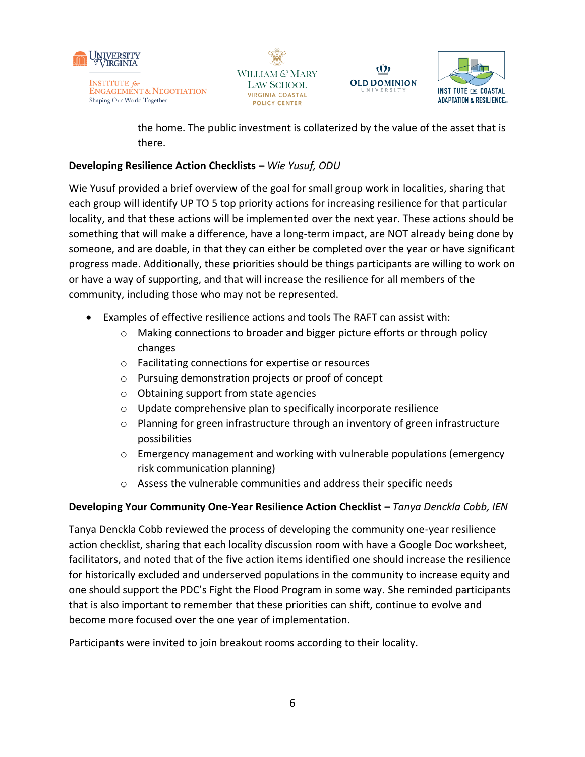







the home. The public investment is collaterized by the value of the asset that is there.

## **Developing Resilience Action Checklists –** *Wie Yusuf, ODU*

Wie Yusuf provided a brief overview of the goal for small group work in localities, sharing that each group will identify UP TO 5 top priority actions for increasing resilience for that particular locality, and that these actions will be implemented over the next year. These actions should be something that will make a difference, have a long-term impact, are NOT already being done by someone, and are doable, in that they can either be completed over the year or have significant progress made. Additionally, these priorities should be things participants are willing to work on or have a way of supporting, and that will increase the resilience for all members of the community, including those who may not be represented.

- Examples of effective resilience actions and tools The RAFT can assist with:
	- o Making connections to broader and bigger picture efforts or through policy changes
	- o Facilitating connections for expertise or resources
	- o Pursuing demonstration projects or proof of concept
	- o Obtaining support from state agencies
	- o Update comprehensive plan to specifically incorporate resilience
	- o Planning for green infrastructure through an inventory of green infrastructure possibilities
	- $\circ$  Emergency management and working with vulnerable populations (emergency risk communication planning)
	- o Assess the vulnerable communities and address their specific needs

## **Developing Your Community One-Year Resilience Action Checklist –** *Tanya Denckla Cobb, IEN*

Tanya Denckla Cobb reviewed the process of developing the community one-year resilience action checklist, sharing that each locality discussion room with have a Google Doc worksheet, facilitators, and noted that of the five action items identified one should increase the resilience for historically excluded and underserved populations in the community to increase equity and one should support the PDC's Fight the Flood Program in some way. She reminded participants that is also important to remember that these priorities can shift, continue to evolve and become more focused over the one year of implementation.

Participants were invited to join breakout rooms according to their locality.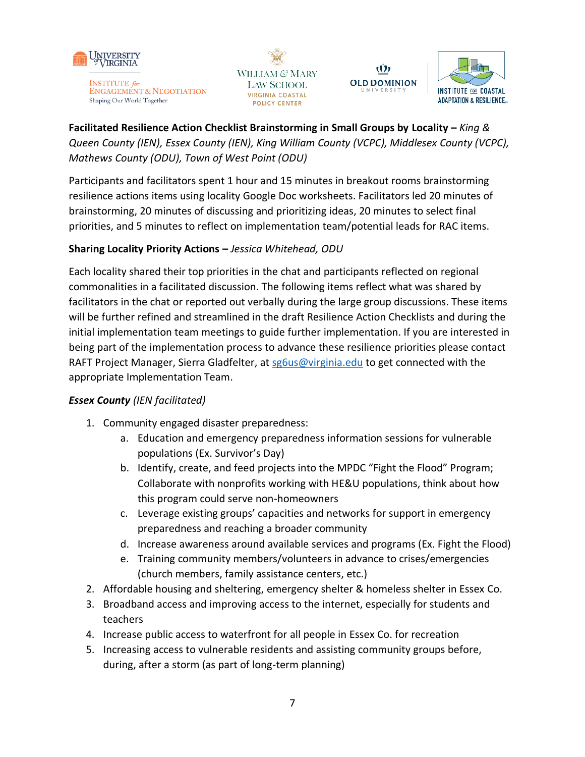

**ENGAGEMENT & NEGOTIATION** Shaping Our World Together







**Facilitated Resilience Action Checklist Brainstorming in Small Groups by Locality –** *King & Queen County (IEN), Essex County (IEN), King William County (VCPC), Middlesex County (VCPC), Mathews County (ODU), Town of West Point (ODU)* 

Participants and facilitators spent 1 hour and 15 minutes in breakout rooms brainstorming resilience actions items using locality Google Doc worksheets. Facilitators led 20 minutes of brainstorming, 20 minutes of discussing and prioritizing ideas, 20 minutes to select final priorities, and 5 minutes to reflect on implementation team/potential leads for RAC items.

## **Sharing Locality Priority Actions –** *Jessica Whitehead, ODU*

Each locality shared their top priorities in the chat and participants reflected on regional commonalities in a facilitated discussion. The following items reflect what was shared by facilitators in the chat or reported out verbally during the large group discussions. These items will be further refined and streamlined in the draft Resilience Action Checklists and during the initial implementation team meetings to guide further implementation. If you are interested in being part of the implementation process to advance these resilience priorities please contact RAFT Project Manager, Sierra Gladfelter, a[t sg6us@virginia.edu](mailto:sg6us@virginia.edu) to get connected with the appropriate Implementation Team.

## *Essex County (IEN facilitated)*

- 1. Community engaged disaster preparedness:
	- a. Education and emergency preparedness information sessions for vulnerable populations (Ex. Survivor's Day)
	- b. Identify, create, and feed projects into the MPDC "Fight the Flood" Program; Collaborate with nonprofits working with HE&U populations, think about how this program could serve non-homeowners
	- c. Leverage existing groups' capacities and networks for support in emergency preparedness and reaching a broader community
	- d. Increase awareness around available services and programs (Ex. Fight the Flood)
	- e. Training community members/volunteers in advance to crises/emergencies (church members, family assistance centers, etc.)
- 2. Affordable housing and sheltering, emergency shelter & homeless shelter in Essex Co.
- 3. Broadband access and improving access to the internet, especially for students and teachers
- 4. Increase public access to waterfront for all people in Essex Co. for recreation
- 5. Increasing access to vulnerable residents and assisting community groups before, during, after a storm (as part of long-term planning)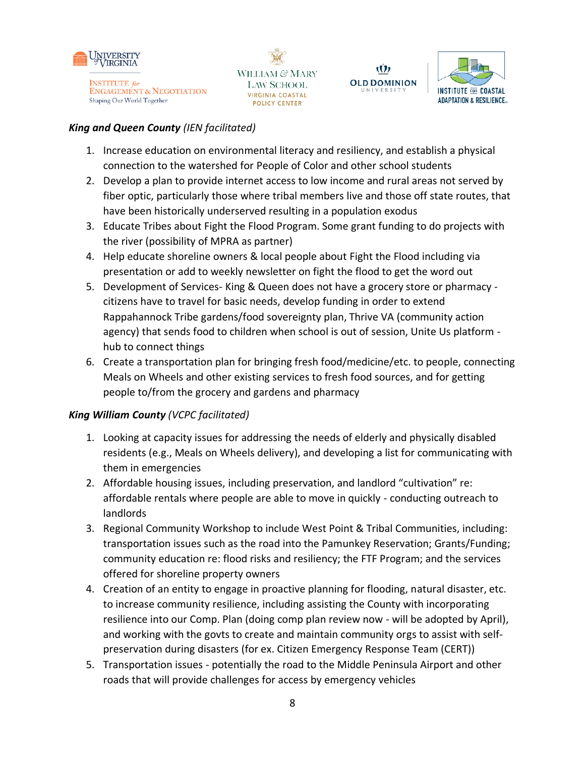







#### *King and Queen County (IEN facilitated)*

- 1. Increase education on environmental literacy and resiliency, and establish a physical connection to the watershed for People of Color and other school students
- 2. Develop a plan to provide internet access to low income and rural areas not served by fiber optic, particularly those where tribal members live and those off state routes, that have been historically underserved resulting in a population exodus
- 3. Educate Tribes about Fight the Flood Program. Some grant funding to do projects with the river (possibility of MPRA as partner)
- 4. Help educate shoreline owners & local people about Fight the Flood including via presentation or add to weekly newsletter on fight the flood to get the word out
- 5. Development of Services- King & Queen does not have a grocery store or pharmacy citizens have to travel for basic needs, develop funding in order to extend Rappahannock Tribe gardens/food sovereignty plan, Thrive VA (community action agency) that sends food to children when school is out of session, Unite Us platform hub to connect things
- 6. Create a transportation plan for bringing fresh food/medicine/etc. to people, connecting Meals on Wheels and other existing services to fresh food sources, and for getting people to/from the grocery and gardens and pharmacy

## *King William County (VCPC facilitated)*

- 1. Looking at capacity issues for addressing the needs of elderly and physically disabled residents (e.g., Meals on Wheels delivery), and developing a list for communicating with them in emergencies
- 2. Affordable housing issues, including preservation, and landlord "cultivation" re: affordable rentals where people are able to move in quickly - conducting outreach to landlords
- 3. Regional Community Workshop to include West Point & Tribal Communities, including: transportation issues such as the road into the Pamunkey Reservation; Grants/Funding; community education re: flood risks and resiliency; the FTF Program; and the services offered for shoreline property owners
- 4. Creation of an entity to engage in proactive planning for flooding, natural disaster, etc. to increase community resilience, including assisting the County with incorporating resilience into our Comp. Plan (doing comp plan review now - will be adopted by April), and working with the govts to create and maintain community orgs to assist with selfpreservation during disasters (for ex. Citizen Emergency Response Team (CERT))
- 5. Transportation issues potentially the road to the Middle Peninsula Airport and other roads that will provide challenges for access by emergency vehicles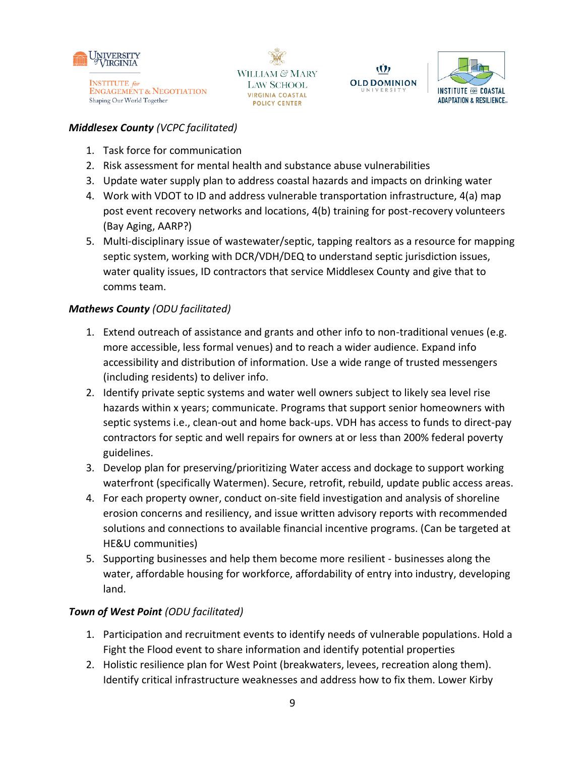







#### *Middlesex County (VCPC facilitated)*

- 1. Task force for communication
- 2. Risk assessment for mental health and substance abuse vulnerabilities
- 3. Update water supply plan to address coastal hazards and impacts on drinking water
- 4. Work with VDOT to ID and address vulnerable transportation infrastructure, 4(a) map post event recovery networks and locations, 4(b) training for post-recovery volunteers (Bay Aging, AARP?)
- 5. Multi-disciplinary issue of wastewater/septic, tapping realtors as a resource for mapping septic system, working with DCR/VDH/DEQ to understand septic jurisdiction issues, water quality issues, ID contractors that service Middlesex County and give that to comms team.

## *Mathews County (ODU facilitated)*

- 1. Extend outreach of assistance and grants and other info to non-traditional venues (e.g. more accessible, less formal venues) and to reach a wider audience. Expand info accessibility and distribution of information. Use a wide range of trusted messengers (including residents) to deliver info.
- 2. Identify private septic systems and water well owners subject to likely sea level rise hazards within x years; communicate. Programs that support senior homeowners with septic systems i.e., clean-out and home back-ups. VDH has access to funds to direct-pay contractors for septic and well repairs for owners at or less than 200% federal poverty guidelines.
- 3. Develop plan for preserving/prioritizing Water access and dockage to support working waterfront (specifically Watermen). Secure, retrofit, rebuild, update public access areas.
- 4. For each property owner, conduct on-site field investigation and analysis of shoreline erosion concerns and resiliency, and issue written advisory reports with recommended solutions and connections to available financial incentive programs. (Can be targeted at HE&U communities)
- 5. Supporting businesses and help them become more resilient businesses along the water, affordable housing for workforce, affordability of entry into industry, developing land.

## *Town of West Point (ODU facilitated)*

- 1. Participation and recruitment events to identify needs of vulnerable populations. Hold a Fight the Flood event to share information and identify potential properties
- 2. Holistic resilience plan for West Point (breakwaters, levees, recreation along them). Identify critical infrastructure weaknesses and address how to fix them. Lower Kirby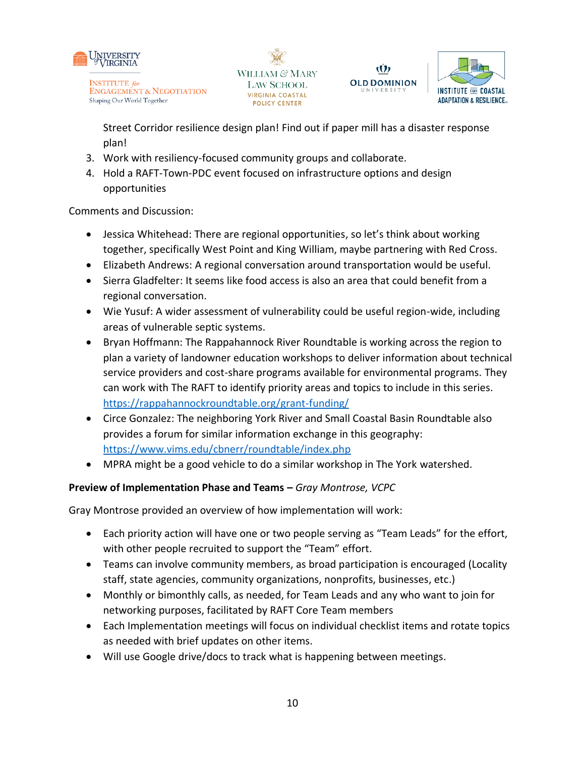







Street Corridor resilience design plan! Find out if paper mill has a disaster response plan!

- 3. Work with resiliency-focused community groups and collaborate.
- 4. Hold a RAFT-Town-PDC event focused on infrastructure options and design opportunities

Comments and Discussion:

- Jessica Whitehead: There are regional opportunities, so let's think about working together, specifically West Point and King William, maybe partnering with Red Cross.
- Elizabeth Andrews: A regional conversation around transportation would be useful.
- Sierra Gladfelter: It seems like food access is also an area that could benefit from a regional conversation.
- Wie Yusuf: A wider assessment of vulnerability could be useful region-wide, including areas of vulnerable septic systems.
- Bryan Hoffmann: The Rappahannock River Roundtable is working across the region to plan a variety of landowner education workshops to deliver information about technical service providers and cost-share programs available for environmental programs. They can work with The RAFT to identify priority areas and topics to include in this series. <https://rappahannockroundtable.org/grant-funding/>
- Circe Gonzalez: The neighboring York River and Small Coastal Basin Roundtable also provides a forum for similar information exchange in this geography: <https://www.vims.edu/cbnerr/roundtable/index.php>
- MPRA might be a good vehicle to do a similar workshop in The York watershed.

## **Preview of Implementation Phase and Teams –** *Gray Montrose, VCPC*

Gray Montrose provided an overview of how implementation will work:

- Each priority action will have one or two people serving as "Team Leads" for the effort, with other people recruited to support the "Team" effort.
- Teams can involve community members, as broad participation is encouraged (Locality staff, state agencies, community organizations, nonprofits, businesses, etc.)
- Monthly or bimonthly calls, as needed, for Team Leads and any who want to join for networking purposes, facilitated by RAFT Core Team members
- Each Implementation meetings will focus on individual checklist items and rotate topics as needed with brief updates on other items.
- Will use Google drive/docs to track what is happening between meetings.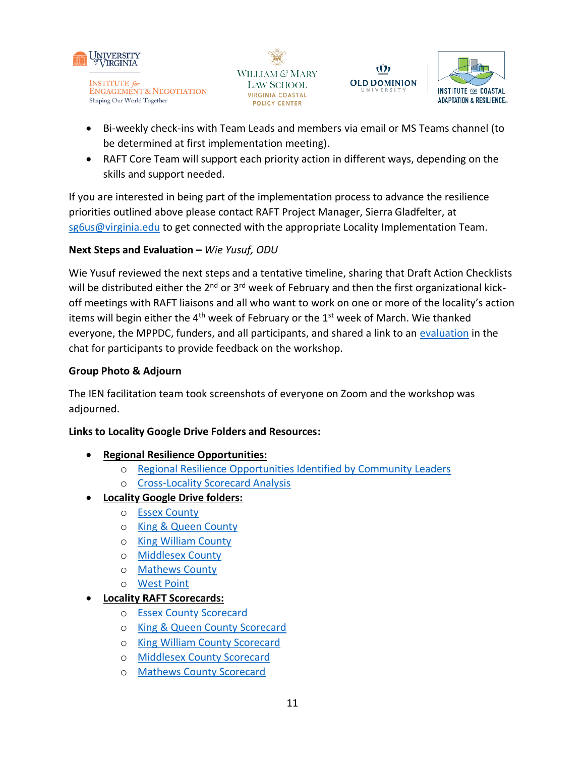







- Bi-weekly check-ins with Team Leads and members via email or MS Teams channel (to be determined at first implementation meeting).
- RAFT Core Team will support each priority action in different ways, depending on the skills and support needed.

If you are interested in being part of the implementation process to advance the resilience priorities outlined above please contact RAFT Project Manager, Sierra Gladfelter, at [sg6us@virginia.edu](mailto:sg6us@virginia.edu) to get connected with the appropriate Locality Implementation Team.

## **Next Steps and Evaluation –** *Wie Yusuf, ODU*

Wie Yusuf reviewed the next steps and a tentative timeline, sharing that Draft Action Checklists will be distributed either the  $2^{nd}$  or  $3^{rd}$  week of February and then the first organizational kickoff meetings with RAFT liaisons and all who want to work on one or more of the locality's action items will begin either the  $4<sup>th</sup>$  week of February or the  $1<sup>st</sup>$  week of March. Wie thanked everyone, the MPPDC, funders, and all participants, and shared a link to an [evaluation](https://docs.google.com/forms/d/e/1FAIpQLSfS1A1CFdw-nyGwaX8MAekIxFzv0_CEa6bEwyTCitmuiBkazQ/viewform) in the chat for participants to provide feedback on the workshop.

## **Group Photo & Adjourn**

The IEN facilitation team took screenshots of everyone on Zoom and the workshop was adjourned.

#### **Links to Locality Google Drive Folders and Resources:**

- **Regional Resilience Opportunities:**
	- o [Regional Resilience Opportunities Identified by Community Leaders](https://drive.google.com/file/d/12-1vwdlPkdtdr5_f0WB_V7Xj-LPuqMTa/view?usp=sharing)
	- o [Cross-Locality Scorecard Analysis](https://drive.google.com/file/d/11Lu2igCWrNbiq87Cwv2SVZF9a40Rb1s7/view?usp=sharing)
- **Locality Google Drive folders:**
	- o [Essex County](https://drive.google.com/drive/folders/16t-37ZWHYjKWdjTtURb35zGVxG0NjcTG?usp=sharing)
	- o [King & Queen County](https://drive.google.com/drive/folders/1Ep8NagC5U45hrF5qgo8WmzUwPH0ryWPc?usp=sharing)
	- o [King William County](https://drive.google.com/drive/folders/11li5hKDN0hpmm59IIlrclNaaTt8ZkIC2?usp=sharing)
	- o [Middlesex County](https://drive.google.com/drive/folders/1ifX3pjQ-R4Jaj5Wuv0u1qKLK5Cj55WnC?usp=sharing)
	- o [Mathews County](https://drive.google.com/drive/folders/11rjpBm4eLu5MlzITyRBwX1Oa6larIsxd?usp=sharing)
	- o [West Point](https://drive.google.com/drive/folders/1UegM0biuoCCP50UTmBAZIN8EZOykpY9o?usp=sharing)

#### • **Locality RAFT Scorecards:**

- o [Essex County](https://raft.ien.virginia.edu/system/files/Essex%20Scorecard.pdf) Scorecard
- o [King & Queen County Scorecard](https://raft.ien.virginia.edu/system/files/King_Queen_Scorecard_2.pdf)
- o [King William County Scorecard](https://raft.ien.virginia.edu/system/files/King%20William%20Scorecard.pdf)
- o [Middlesex County Scorecard](https://raft.ien.virginia.edu/system/files/Middlesex%20Scorecard.pdf)
- o [Mathews County Scorecard](https://raft.ien.virginia.edu/system/files/Mathews%20Scorecard.pdf)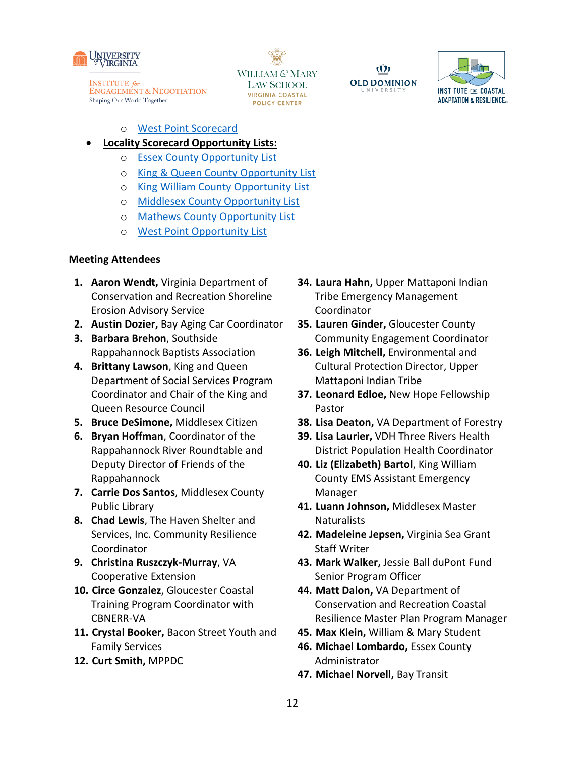

WILLIAM & MARY **LAW SCHOOL** VIRGINIA COASTAL **POLICY CENTER** 

Ŵ **OLD DOMINION** 



- o [West Point Scorecard](https://raft.ien.virginia.edu/system/files/West%20Point%20Scorecard.pdf)
- **Locality Scorecard Opportunity Lists:**
	- o [Essex County Opportunity List](https://raft.ien.virginia.edu/system/files/ESSEX%20Opportunity%20List.pdf)
	- o [King & Queen County Opportunity List](https://raft.ien.virginia.edu/system/files/KING%20AND%20QUEEN%20Opportunity%20List.pdf)
	- o [King William County Opportunity List](https://raft.ien.virginia.edu/system/files/KING%20WILLIAM%20Opportunity%20List.pdf)
	- o [Middlesex County Opportunity List](https://raft.ien.virginia.edu/system/files/MIDDLESEX%20Opportunity%20List.pdf)
	- o [Mathews County Opportunity List](https://raft.ien.virginia.edu/system/files/MATHEWS%20Opportunity%20List.pdf)
	- o [West Point Opportunity List](https://raft.ien.virginia.edu/system/files/WEST%20POINT%20Opportunity%20List.pdf)

#### **Meeting Attendees**

- **1. Aaron Wendt,** Virginia Department of Conservation and Recreation Shoreline Erosion Advisory Service
- **2. Austin Dozier,** Bay Aging Car Coordinator
- **3. Barbara Brehon**, Southside Rappahannock Baptists Association
- **4. Brittany Lawson**, King and Queen Department of Social Services Program Coordinator and Chair of the King and Queen Resource Council
- **5. Bruce DeSimone,** Middlesex Citizen
- **6. Bryan Hoffman**, Coordinator of the Rappahannock River Roundtable and Deputy Director of Friends of the Rappahannock
- **7. Carrie Dos Santos**, Middlesex County Public Library
- **8. Chad Lewis**, The Haven Shelter and Services, Inc. Community Resilience Coordinator
- **9. Christina Ruszczyk-Murray**, VA Cooperative Extension
- **10. Circe Gonzalez**, Gloucester Coastal Training Program Coordinator with CBNERR-VA
- **11. Crystal Booker,** Bacon Street Youth and Family Services
- **12. Curt Smith,** MPPDC
- **34. Laura Hahn,** Upper Mattaponi Indian Tribe Emergency Management Coordinator
- **35. Lauren Ginder,** Gloucester County Community Engagement Coordinator
- **36. Leigh Mitchell,** Environmental and Cultural Protection Director, Upper Mattaponi Indian Tribe
- **37. Leonard Edloe,** New Hope Fellowship Pastor
- **38. Lisa Deaton,** VA Department of Forestry
- **39. Lisa Laurier,** VDH Three Rivers Health District Population Health Coordinator
- **40. Liz (Elizabeth) Bartol**, King William County EMS Assistant Emergency Manager
- **41. Luann Johnson,** Middlesex Master **Naturalists**
- **42. Madeleine Jepsen,** Virginia Sea Grant Staff Writer
- **43. Mark Walker,** Jessie Ball duPont Fund Senior Program Officer
- **44. Matt Dalon,** VA Department of Conservation and Recreation Coastal Resilience Master Plan Program Manager
- **45. Max Klein,** William & Mary Student
- **46. Michael Lombardo,** Essex County Administrator
- **47. Michael Norvell,** Bay Transit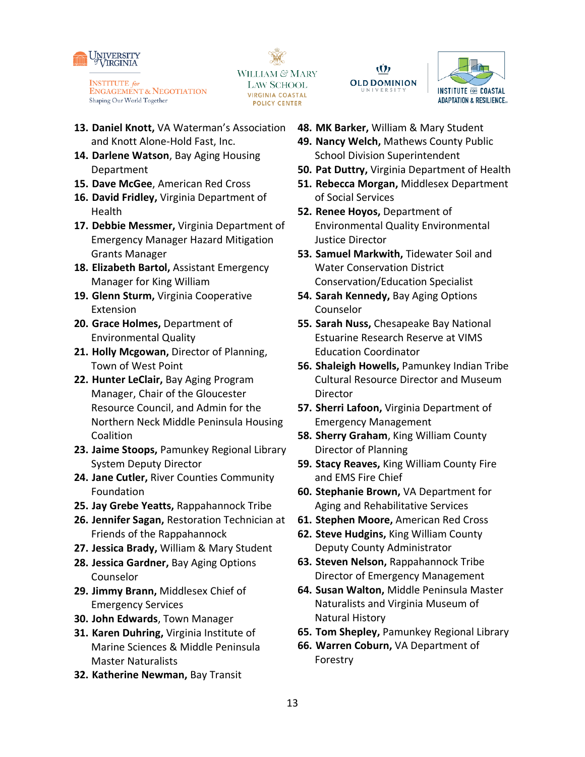







- **13. Daniel Knott,** VA Waterman's Association and Knott Alone-Hold Fast, Inc.
- **14. Darlene Watson**, Bay Aging Housing Department
- **15. Dave McGee**, American Red Cross
- **16. David Fridley,** Virginia Department of **Health**
- **17. Debbie Messmer,** Virginia Department of Emergency Manager Hazard Mitigation Grants Manager
- **18. Elizabeth Bartol,** Assistant Emergency Manager for King William
- **19. Glenn Sturm,** Virginia Cooperative Extension
- **20. Grace Holmes,** Department of Environmental Quality
- **21. Holly Mcgowan,** Director of Planning, Town of West Point
- **22. Hunter LeClair,** Bay Aging Program Manager, Chair of the Gloucester Resource Council, and Admin for the Northern Neck Middle Peninsula Housing Coalition
- **23. Jaime Stoops,** Pamunkey Regional Library System Deputy Director
- **24. Jane Cutler,** River Counties Community Foundation
- **25. Jay Grebe Yeatts,** Rappahannock Tribe
- **26. Jennifer Sagan,** Restoration Technician at Friends of the Rappahannock
- **27. Jessica Brady,** William & Mary Student
- **28. Jessica Gardner,** Bay Aging Options Counselor
- **29. Jimmy Brann,** Middlesex Chief of Emergency Services
- **30. John Edwards**, Town Manager
- **31. Karen Duhring,** Virginia Institute of Marine Sciences & Middle Peninsula Master Naturalists
- **32. Katherine Newman,** Bay Transit
- **48. MK Barker,** William & Mary Student
- **49. Nancy Welch,** Mathews County Public School Division Superintendent
- **50. Pat Duttry,** Virginia Department of Health
- **51. Rebecca Morgan,** Middlesex Department of Social Services
- **52. Renee Hoyos,** Department of Environmental Quality Environmental Justice Director
- **53. Samuel Markwith,** Tidewater Soil and Water Conservation District Conservation/Education Specialist
- **54. Sarah Kennedy,** Bay Aging Options Counselor
- **55. Sarah Nuss,** Chesapeake Bay National Estuarine Research Reserve at VIMS Education Coordinator
- **56. Shaleigh Howells,** Pamunkey Indian Tribe Cultural Resource Director and Museum Director
- **57. Sherri Lafoon,** Virginia Department of Emergency Management
- **58. Sherry Graham**, King William County Director of Planning
- **59. Stacy Reaves,** King William County Fire and EMS Fire Chief
- **60. Stephanie Brown,** VA Department for Aging and Rehabilitative Services
- **61. Stephen Moore,** American Red Cross
- **62. Steve Hudgins,** King William County Deputy County Administrator
- **63. Steven Nelson,** Rappahannock Tribe Director of Emergency Management
- **64. Susan Walton,** Middle Peninsula Master Naturalists and Virginia Museum of Natural History
- **65. Tom Shepley,** Pamunkey Regional Library
- **66. Warren Coburn,** VA Department of Forestry